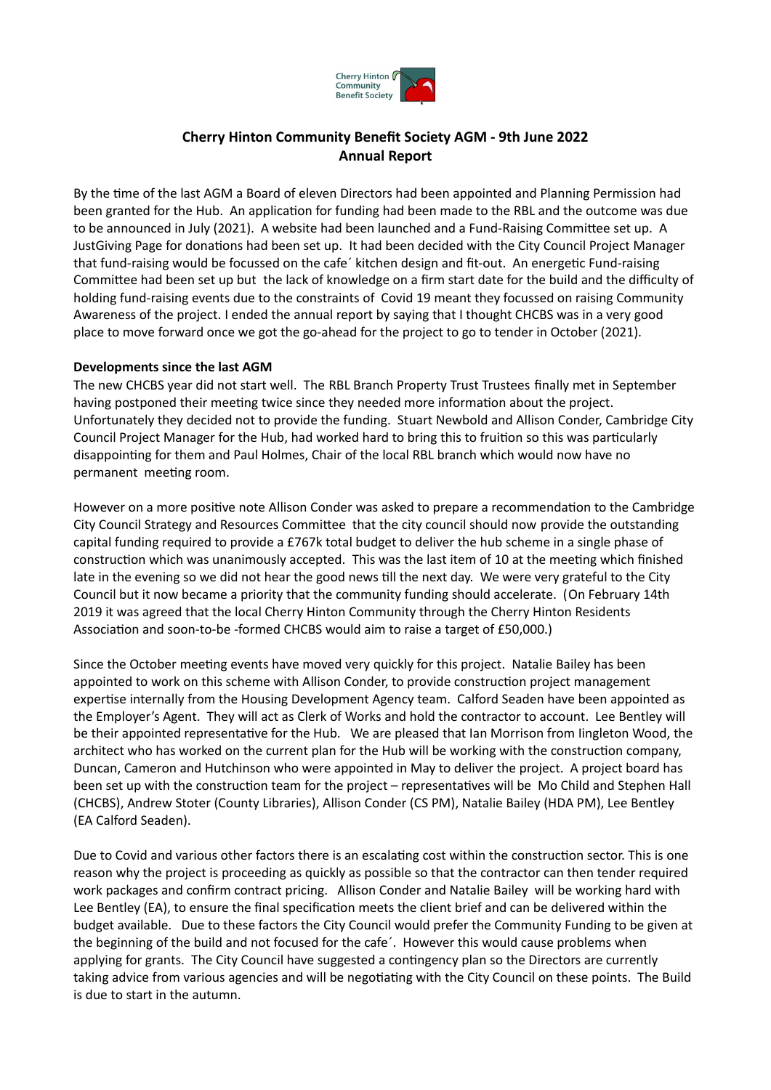

# **Cherry Hinton Community Benefit Society AGM - 9th June 2022 Annual Report**

By the time of the last AGM a Board of eleven Directors had been appointed and Planning Permission had been granted for the Hub. An application for funding had been made to the RBL and the outcome was due to be announced in July (2021). A website had been launched and a Fund-Raising Committee set up. A JustGiving Page for donations had been set up. It had been decided with the City Council Project Manager that fund-raising would be focussed on the cafe´ kitchen design and fit-out. An energetic Fund-raising Committee had been set up but the lack of knowledge on a firm start date for the build and the difficulty of holding fund-raising events due to the constraints of Covid 19 meant they focussed on raising Community Awareness of the project. I ended the annual report by saying that I thought CHCBS was in a very good place to move forward once we got the go-ahead for the project to go to tender in October (2021).

#### **Developments since the last AGM**

The new CHCBS year did not start well. The RBL Branch Property Trust Trustees finally met in September having postponed their meeting twice since they needed more information about the project. Unfortunately they decided not to provide the funding. Stuart Newbold and Allison Conder, Cambridge City Council Project Manager for the Hub, had worked hard to bring this to fruition so this was particularly disappointing for them and Paul Holmes, Chair of the local RBL branch which would now have no permanent meeting room.

However on a more positive note Allison Conder was asked to prepare a recommendation to the Cambridge City Council Strategy and Resources Committee that the city council should now provide the outstanding capital funding required to provide a £767k total budget to deliver the hub scheme in a single phase of construction which was unanimously accepted. This was the last item of 10 at the meeting which finished late in the evening so we did not hear the good news till the next day. We were very grateful to the City Council but it now became a priority that the community funding should accelerate. (On February 14th 2019 it was agreed that the local Cherry Hinton Community through the Cherry Hinton Residents Association and soon-to-be -formed CHCBS would aim to raise a target of £50,000.)

Since the October meeting events have moved very quickly for this project. Natalie Bailey has been appointed to work on this scheme with Allison Conder, to provide construction project management expertise internally from the Housing Development Agency team. Calford Seaden have been appointed as the Employer's Agent. They will act as Clerk of Works and hold the contractor to account. Lee Bentley will be their appointed representative for the Hub. We are pleased that Ian Morrison from Iingleton Wood, the architect who has worked on the current plan for the Hub will be working with the construction company, Duncan, Cameron and Hutchinson who were appointed in May to deliver the project. A project board has been set up with the construction team for the project – representatives will be Mo Child and Stephen Hall (CHCBS), Andrew Stoter (County Libraries), Allison Conder (CS PM), Natalie Bailey (HDA PM), Lee Bentley (EA Calford Seaden).

Due to Covid and various other factors there is an escalating cost within the construction sector. This is one reason why the project is proceeding as quickly as possible so that the contractor can then tender required work packages and confirm contract pricing. Allison Conder and Natalie Bailey will be working hard with Lee Bentley (EA), to ensure the final specification meets the client brief and can be delivered within the budget available. Due to these factors the City Council would prefer the Community Funding to be given at the beginning of the build and not focused for the cafe´. However this would cause problems when applying for grants. The City Council have suggested a contingency plan so the Directors are currently taking advice from various agencies and will be negotiating with the City Council on these points. The Build is due to start in the autumn.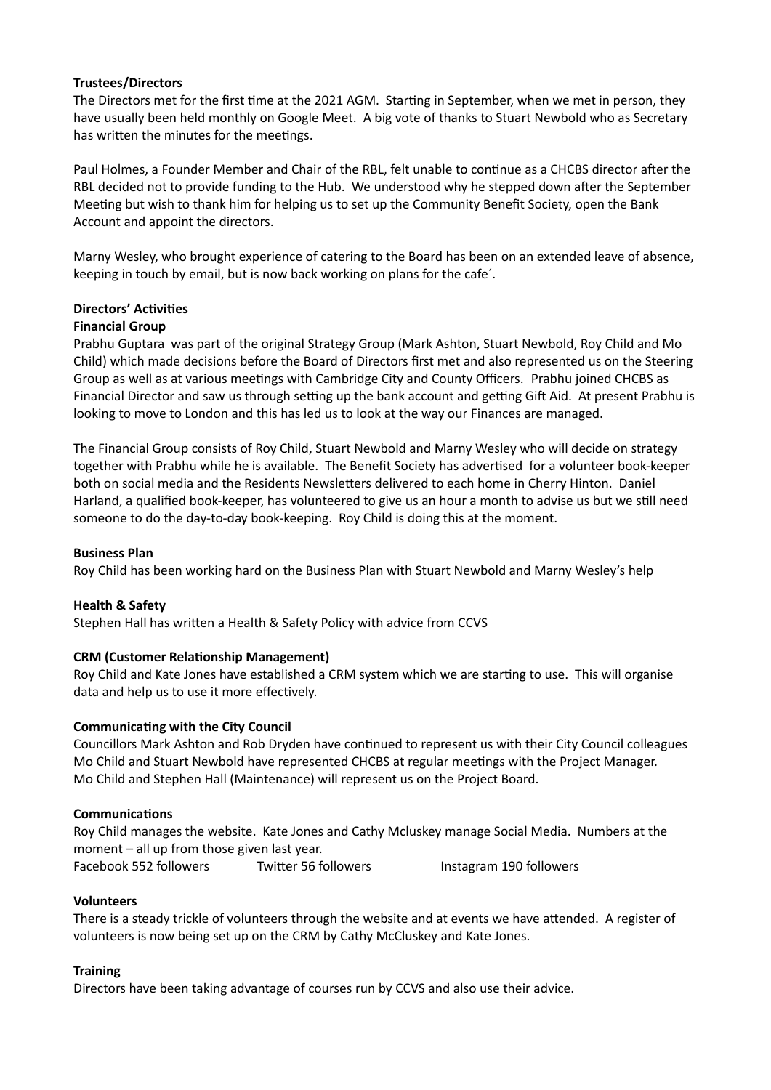#### **Trustees/Directors**

The Directors met for the first time at the 2021 AGM. Starting in September, when we met in person, they have usually been held monthly on Google Meet. A big vote of thanks to Stuart Newbold who as Secretary has written the minutes for the meetings.

Paul Holmes, a Founder Member and Chair of the RBL, felt unable to continue as a CHCBS director after the RBL decided not to provide funding to the Hub. We understood why he stepped down after the September Meeting but wish to thank him for helping us to set up the Community Benefit Society, open the Bank Account and appoint the directors.

Marny Wesley, who brought experience of catering to the Board has been on an extended leave of absence, keeping in touch by email, but is now back working on plans for the cafe´.

## **Directors' Activities**

### **Financial Group**

Prabhu Guptara was part of the original Strategy Group (Mark Ashton, Stuart Newbold, Roy Child and Mo Child) which made decisions before the Board of Directors first met and also represented us on the Steering Group as well as at various meetings with Cambridge City and County Officers. Prabhu joined CHCBS as Financial Director and saw us through setting up the bank account and getting Gift Aid. At present Prabhu is looking to move to London and this has led us to look at the way our Finances are managed.

The Financial Group consists of Roy Child, Stuart Newbold and Marny Wesley who will decide on strategy together with Prabhu while he is available. The Benefit Society has advertised for a volunteer book-keeper both on social media and the Residents Newsletters delivered to each home in Cherry Hinton. Daniel Harland, a qualified book-keeper, has volunteered to give us an hour a month to advise us but we still need someone to do the day-to-day book-keeping. Roy Child is doing this at the moment.

#### **Business Plan**

Roy Child has been working hard on the Business Plan with Stuart Newbold and Marny Wesley's help

#### **Health & Safety**

Stephen Hall has written a Health & Safety Policy with advice from CCVS

#### **CRM (Customer Relationship Management)**

Roy Child and Kate Jones have established a CRM system which we are starting to use. This will organise data and help us to use it more effectively.

#### **Communicating with the City Council**

Councillors Mark Ashton and Rob Dryden have continued to represent us with their City Council colleagues Mo Child and Stuart Newbold have represented CHCBS at regular meetings with the Project Manager. Mo Child and Stephen Hall (Maintenance) will represent us on the Project Board.

#### **Communications**

Roy Child manages the website. Kate Jones and Cathy Mcluskey manage Social Media. Numbers at the moment – all up from those given last year. Facebook 552 followers Twitter 56 followers Instagram 190 followers

#### **Volunteers**

There is a steady trickle of volunteers through the website and at events we have attended. A register of volunteers is now being set up on the CRM by Cathy McCluskey and Kate Jones.

#### **Training**

Directors have been taking advantage of courses run by CCVS and also use their advice.